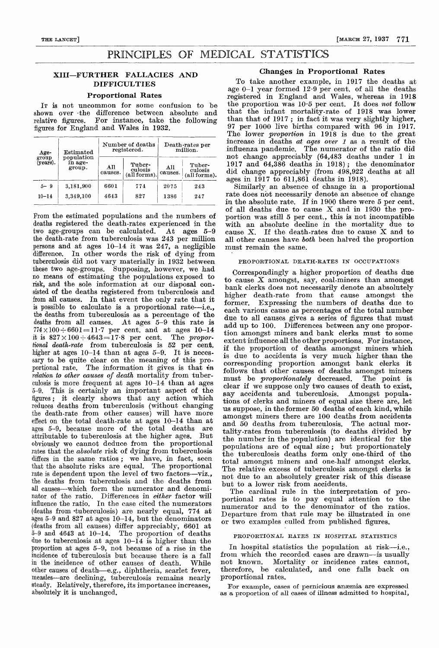# PRINCIPLES OF MEDICAL STATISTICS

# XIII-FURTHER FALLACIES AND DIFFICULTIES

# Proportional Rates

IT is not uncommon for some confusion to be  $\substack{\text{shown} \quad over \quad the \quad difference \quad between \quad absolute \quad and}$ relative figures. For instance, take the following figures for England and Wales in 1932.

| Age-<br>group<br>$(years)$ . | Estimated<br>population<br>in age-<br>group. |                | Number of deaths<br>registered.   | Death-rates per<br>million. |                                   |  |
|------------------------------|----------------------------------------------|----------------|-----------------------------------|-----------------------------|-----------------------------------|--|
|                              |                                              | All<br>causes. | Tuber-<br>culosis<br>(all forms). | All<br>causes.              | Tuber-<br>culosis<br>(all forms). |  |
| $5 - 9$                      | 3.181,900                                    | 6601           | 774                               | 2075                        | 243                               |  |
| $10 - 14$                    | 3.349.100                                    | 4643           | 827                               | 1386                        | 247                               |  |

From the estimated populations and the numbers of deaths registered the death-rates experienced in the two age-groups can be calculated. At ages 5-9 the death-rate from tuberculosis was 243 per million persons and at ages 10-14 it was 247, a negligible difference. In other words the risk of dying from tuberculosis did not vary materially in 1932 between these two age-groups. Supposing, however, we had no means of estimating the populations exposed to risk, and the sole information at our disposal consisted of the deaths registered from tuberculosis and from all causes. In that event the only rate that it is possible to calculate is a proportional rate-i.e., the deaths from tuberculosis as a percentage of the deaths from all causes. At ages 5-9 this rate is  $774 \times 100 \div 6601 = 11.7$  per cent. and at ages  $10-14$ it is  $827 \times 100 \div 4643 = 17.8$  per cent. The proportional death-rate from tuberculosis is 52 per cent. higher at ages  $10-14$  than at ages  $5-9$ . It is necessary to be quite clear on the meaning of this proportional rate. The information it gives is that in relation to other causes of death mortality from tuberculosis is more frequent at ages  $10-14$  than at ages 5-9. This is certainly an important aspect of the figures ; it clearly shows that any action which reduces deaths from tuberculosis (without changing the death-rate from other causes) will have more effect on the total death-rate at ages 10-14 than at ages 5-9, because more of the total deaths are<br>attributable to tuberculosis at the higher ages. But attributable to tuberculosis at the higher ages. obviously we cannot deduce from the proportional rates that the absolute risk of dying from tuberculosis differs in the same ratios; we have, in fact, seen that the absolute risks are equal. The proportional rate is dependent upon the level of two factors-viz., the deaths from tuberculosis and the deaths from all causes-which form the numerator and denominator of the ratio. Differences in *either* factor will influence the ratio. In the case cited the numerators (deaths from -tuberculosis) are nearly equal, 774 at ages 5-9 and 827 at ages 10-14, but the denominators (deaths from all causes) differ appreciably, 6601 at 5-9 and 4643 at 10-14. The proportion of deaths due to tuberculosis at ages  $10-\tilde{14}$  is higher than the proportion at ages 5-9, not because of a rise in the incidence of tuberculosis but because there is a fall in the incidence of other causes of death. While other causes of death-e.g., diphtheria, scarlet fever, measles-are declining, tuberculosis remains nearly steady. Relatively, therefore, its importance increases, absolutely it is unchanged.

## Changes in Proportional Rates

To take another example, in 1917 the deaths at age  $0-1$  year formed  $12.9$  per cent. of all the deaths registered in England and Wales, whereas in 1918 the proportion was  $10.5$  per cent. It does not follow that the infant mortality-rate of 1918 was lower than that of 1917 ; in fact it was very slightly higher, 97 per 1000 live births compared with 96 in 1917. The lower *proportion* in 1918 is due to the great increase in deaths at ages over 1 as a result of the influenza pandemic. The numerator of the ratio did not change appreciably (64,483 deaths under 1 in 1917 and 64,386 deaths in 1918) ; the denominator did change appreciably (from 498,922 deaths at all ages in 1917 to 611,861 deaths in 1918).

Similarly,an absence of change in a proportional rate does not necessarily denote an absence of change in the absolute rate. If in 1900 there were 5 per cent. of all deaths due to cause X and in 1930 the proportion was still 5 per cent., this is not incompatible with an absolute decline in the mortality due to cause X. If the death-rates due to cause X and to all other causes have both been halved the proportion must remain the same.

## PROPORTIONAL DEATH-RATES IN OCCUPATIONS

Correspondingly a higher proportion of deaths due to cause X amongst, say, coal-miners than amongst bank clerks does not necessarily denote an absolutely higher death-rate from that cause amongst the former. Expressing the numbers of deaths dae to each various cause as percentages of the total number due to all causes gives a series of figures that must add up to 100. Differences between any one proportion amongst miners and bank clerks must to some extent influence all the other proportions. For instance, if the proportion of deaths amongst miners which is due to accidents is very much higher than the corresponding proportion amongst bank clerks it follows that other causes of deaths amongst miners<br>must be *proportionately* decreased. The point is must be *proportionately* decreased. clear if we suppose only two causes of death to exist, say accidents and tuberculosis. Amongst populations of clerks and miners of equal size there are, let us suppose, in the former 50 deaths of each kind, while amongst miners there are 100 deaths from accidents and 50 deaths from tuberculosis. The actual mortality-rates from tuberculosis (to deaths divided by the number in the population) are identical for the populations are of equal size; but proportionately the tuberculosis deaths form only one-third of the total amongst miners and one-half amongst clerks. The relative excess of tuberculosis amongst clerks is not due to an absolutely greater risk of this disease but to a lower risk from accidents.

The cardinal rule in the interpretation of proportional rates is to pay equal attention to the numerator and to the denominator of the ratios. Departure from that rule may be illustrated in one or two examples culled from published figures.

## PROPORTIONAL RATES IN HOSPITAL STATISTICS

In hospital statistics the population at risk-i.e., from which the recorded cases are drawn-is usually not known. Mortality or incidence rates cannot, therefore, be calculated, and one falls back on proportional rates.

For example, cases of pernicious anaemia, are expressed as a proportion of all cases of illness admitted to hospital,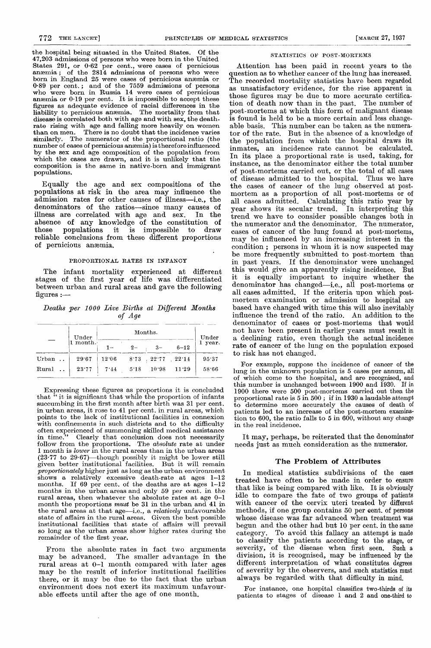the hospital being situated in the United States. Of the 47,203 admissions of persons who were born in the United States 291, or 0.62 per cent., were cases of pernicious anaemia ; of the 2814 admissions of persons who were born in England 25 were cases of pernicious anaemia or 0-89 per cent.; and of the 7559 admissions of persons who were born in Russia 14 were cases of pernicious anæmia or  $0.19$  per cent. It is impossible to accept these figures as adequate evidence of racial differences in the liability to pernicious anaemia. The mortality from that disease is correlated both with age and with sex, the deathrate rising with age and falling more heavily on women than on men. There is no doubt that the incidence varies similarly. The numerator of the proportional ratio (the number of cases of pernicious anaemia) is therefore influenced by the sex and age composition of the population from which the cases are drawn, and it is unlikely that the composition is the same in native-born and immigrant populations.

Equally the age and sex compositions of the populations at risk in the area may influence the admission rates for other causes of illness-i.e., the denominators of the ratios-since many causes of illness are correlated with age and sex. In the absence of any knowledge of the constitution of those populations it is impossible to draw reliable conclusions from these different proportions of pernicious anaemia.

# PROPORTIONAL RATES IN INFANCY

The infant mortality experienced at different stages of the first year of life was differentiated between urban and rural areas and gave the following figures :-

Deaths per 1000 Live Births at Different Months of Age

|         |        | Under    |       | Under |                |          |         |
|---------|--------|----------|-------|-------|----------------|----------|---------|
|         |        | 1 month. |       | $2-$  | $3-$           | $6 - 12$ | 1 year. |
| $Urban$ | $\sim$ | 29.67    | 12.06 |       | $8.73$ $22.77$ | 22.14    | 95.37   |
| Rural   |        | 23.77    | 7.14  | 5.18  | 10.38          | 11.39    | 58.66   |

Expressing these figures as proportions it is concluded that " it is significant that while the proportion of infants succumbing in the first month after birth was 31 per cent. in urban areas, it rose to 41 per cent. in rural areas, which points to the lack of institutional facilities in connexion with confinements in such districts and to the difficulty often experienced of summoning skilled medical assistance in time." Clearly that conclusion does not necessarily follow from the proportions. The *absolute* rate at under 1 month is lower in the rural areas than in the urban areas  $(23.77$  to  $29.67$ )—though possibly it might be lower still given better institutional facilities. But it will remain proportionately higher just as long as the urban environment shows a relatively excessive death-rate at ages  $1-12$  months. If 69 per cent, of the deaths are at ages  $1-12$ If 69 per cent. of the deaths are at ages  $1-12$ months in the urban areas and only 59 per cent. in the rural areas, then whatever the absolute rates at age 0-1 month the proportions must be 31 in the urban and 41 in the rural areas at that age—i.e., a *relatively* unfavourable state of affairs in the rural areas. Given the best possible in the rural areas that state of affairs will prevail so long as the urban areas show higher rates during the remainder of the first year.

From the absolute rates in fact two arguments<br>may be advanced. The smaller advantage in the The smaller advantage in the rural areas at 0-1 month compared with later ages may be the result of inferior institutional facilities there, or it may be due to the fact that the urban environment does not exert its maximum unfavourable effects until after the age of one month.

 $\ddot{\phantom{a}}$ 

#### STATISTICS OF POST-MORTEMS

Attention has been paid in recent years to the question as to whether cancer of the lung has increased. The recorded mortality statistics have been regarded as unsatisfactory evidence, for the rise apparent in those figures may be due to more accurate certification of death now than in the past. The number of post-mortems at which this form of malignant disease is found is held to be a more certain and less changeable basis. This number can be taken as the numerator of the rate. But in the absence of a knowledge of the population from which the hospital draws its inmates, an incidence rate cannot be calculated. In its place a proportional rate is used, taking, for instance, as the denominator either the total number of post-mortems carried out, or the total of all cases of disease admitted to the hospital. Thus we have the cases of cancer of the lung observed at postmortem as a proportion of all post-mortems or of all cases admitted. Calculating this ratio year by year shows its secular trend. In interpreting this trend we have to consider possible changes both in the numerator and the denominator. The numerator, cases of cancer of the lung found at post-mortems, may be influenced by an increasing interest in the condition ; persons in whom it is now suspected may be more frequently submitted to post-mortem than<br>in past years. If the denominator were unchanged this would give an apparently rising incidence. But it is equally important to inquire whether the denominator has changed-i.e., all post-mortems or all cases admitted. If the criteria upon which postmortem examination or admission to hospital are based have changed with time this will also inevitably influence the trend of the ratio. An addition to the denominator of cases or post-mortems that would not have been present in earlier years must result in a declining ratio, even though the actual incidence rate of cancer of the lung on the population exposed to risk has not changed.

For example, suppose the incidence of cancer of the lung in the unknown population is 5 cases per annum, all of which come to the hospital, and are recognised, and this number is unchanged between 1900 and 1930. If in 1900 there were 500 post-mortems carried out then the proportional rate is 5 in 500 ; if in 1930 a laudable attempt to determine more accurately the causes of death of patients led to an increase of the post-mortem examination to 600, the ratio falls to 5 in 600, without any change in the real incidence.

It may, perhaps, be reiterated that the denominator needs just as much consideration as the numerator.

### The Problem of Attributes

In medical statistics subdivisions of the cases treated have often to be made in order to ensure that like is being compared with like. It is obviously idle to compare the fate of two groups of patients with cancer of the cervix uteri treated by different methods, if one group contains 50 per cent. of persons whose disease was far advanced when treatment was begun and the other had but 10 per cent. in the same category. To avoid this fallacy an attempt is made to classify the patients according to the stage, or severity, of the disease when first seen. Such a division, it is recognised, may be influenced by the different interpretation of what constitutes degrees of severity by the observers, and such statistics must always be regarded with that difficulty in mind.

For instance, one hospital classifies two-thirds of its patients to stages of disease 1 and 2 and one-third to